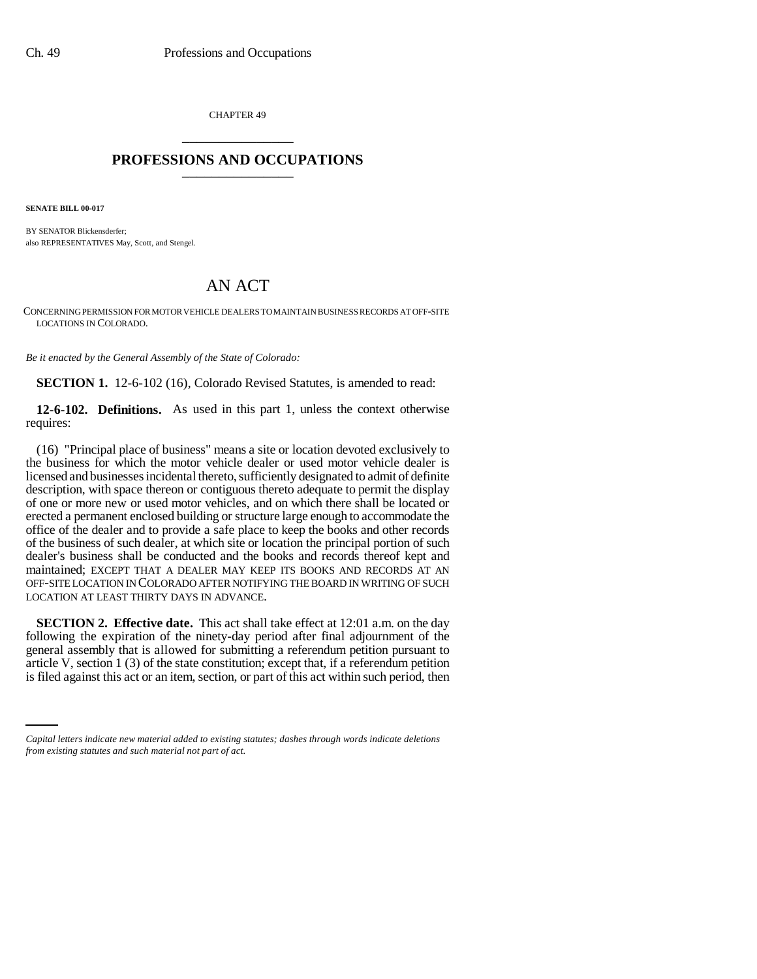CHAPTER 49 \_\_\_\_\_\_\_\_\_\_\_\_\_\_\_

## **PROFESSIONS AND OCCUPATIONS** \_\_\_\_\_\_\_\_\_\_\_\_\_\_\_

**SENATE BILL 00-017** 

BY SENATOR Blickensderfer; also REPRESENTATIVES May, Scott, and Stengel.

## AN ACT

CONCERNING PERMISSION FOR MOTOR VEHICLE DEALERS TO MAINTAIN BUSINESS RECORDS AT OFF-SITE LOCATIONS IN COLORADO.

*Be it enacted by the General Assembly of the State of Colorado:*

**SECTION 1.** 12-6-102 (16), Colorado Revised Statutes, is amended to read:

**12-6-102. Definitions.** As used in this part 1, unless the context otherwise requires:

(16) "Principal place of business" means a site or location devoted exclusively to the business for which the motor vehicle dealer or used motor vehicle dealer is licensed and businesses incidental thereto, sufficiently designated to admit of definite description, with space thereon or contiguous thereto adequate to permit the display of one or more new or used motor vehicles, and on which there shall be located or erected a permanent enclosed building or structure large enough to accommodate the office of the dealer and to provide a safe place to keep the books and other records of the business of such dealer, at which site or location the principal portion of such dealer's business shall be conducted and the books and records thereof kept and maintained; EXCEPT THAT A DEALER MAY KEEP ITS BOOKS AND RECORDS AT AN OFF-SITE LOCATION IN COLORADO AFTER NOTIFYING THE BOARD IN WRITING OF SUCH LOCATION AT LEAST THIRTY DAYS IN ADVANCE.

article V, section 1 (3) of the state constitution; except that, if a referendum petition **SECTION 2. Effective date.** This act shall take effect at 12:01 a.m. on the day following the expiration of the ninety-day period after final adjournment of the general assembly that is allowed for submitting a referendum petition pursuant to is filed against this act or an item, section, or part of this act within such period, then

*Capital letters indicate new material added to existing statutes; dashes through words indicate deletions from existing statutes and such material not part of act.*